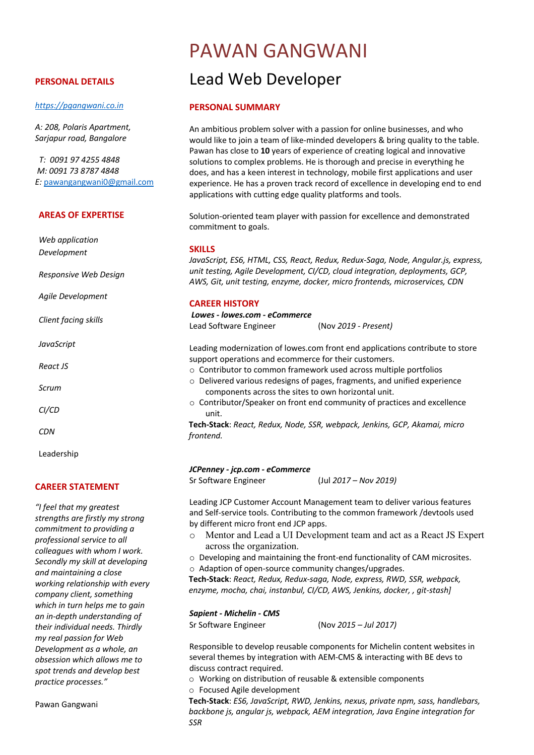#### **PERSONAL DETAILS**

#### *https://pgangwani.co.in*

*A: 208, Polaris Apartment, Sarjapur road, Bangalore*

*T: 0091 97 4255 4848 M: 0091 73 8787 4848 E:* pawangangwani0@gmail.com

#### **AREAS OF EXPERTISE**

*Web application Development*

*Responsive Web Design*

*Agile Development*

*Client facing skills*

*JavaScript*

*React JS*

*Scrum*

*CI/CD*

*CDN*

Leadership

## **CAREER STATEMENT**

*"I feel that my greatest strengths are firstly my strong commitment to providing a professional service to all colleagues with whom I work. Secondly my skill at developing and maintaining a close working relationship with every company client, something which in turn helps me to gain an in-depth understanding of their individual needs. Thirdly my real passion for Web Development as a whole, an obsession which allows me to spot trends and develop best practice processes."*

Pawan Gangwani

# PAWAN GANGWANI

# Lead Web Developer

#### **PERSONAL SUMMARY**

An ambitious problem solver with a passion for online businesses, and who would like to join a team of like-minded developers & bring quality to the table. Pawan has close to **10** years of experience of creating logical and innovative solutions to complex problems. He is thorough and precise in everything he does, and has a keen interest in technology, mobile first applications and user experience. He has a proven track record of excellence in developing end to end applications with cutting edge quality platforms and tools.

Solution-oriented team player with passion for excellence and demonstrated commitment to goals.

#### **SKILLS**

*JavaScript, ES6, HTML, CSS, React, Redux, Redux-Saga, Node, Angular.js, express, unit testing, Agile Development, CI/CD, cloud integration, deployments, GCP, AWS, Git, unit testing, enzyme, docker, micro frontends, microservices, CDN*

#### **CAREER HISTORY**

*Lowes - lowes.com - eCommerce*

Lead Software Engineer (Nov *2019 - Present)*

Leading modernization of lowes.com front end applications contribute to store support operations and ecommerce for their customers.

- o Contributor to common framework used across multiple portfolios
- o Delivered various redesigns of pages, fragments, and unified experience components across the sites to own horizontal unit.
- o Contributor/Speaker on front end community of practices and excellence unit.

**Tech-Stack**: *React, Redux, Node, SSR, webpack, Jenkins, GCP, Akamai, micro frontend.*

#### *JCPenney - jcp.com - eCommerce*

Sr Software Engineer (Jul *2017 – Nov 2019)*

Leading JCP Customer Account Management team to deliver various features and Self-service tools. Contributing to the common framework /devtools used by different micro front end JCP apps.

- o Mentor and Lead a UI Development team and act as a React JS Expert across the organization.
- o Developing and maintaining the front-end functionality of CAM microsites. o Adaption of open-source community changes/upgrades.

**Tech-Stack**: *React, Redux, Redux-saga, Node, express, RWD, SSR, webpack, enzyme, mocha, chai, instanbul, CI/CD, AWS, Jenkins, docker, , git-stash]*

#### *Sapient - Michelin - CMS*

Sr Software Engineer (Nov *2015 – Jul 2017)*

Responsible to develop reusable components for Michelin content websites in several themes by integration with AEM-CMS & interacting with BE devs to discuss contract required.

- o Working on distribution of reusable & extensible components
- o Focused Agile development

**Tech-Stack**: *ES6, JavaScript, RWD, Jenkins, nexus, private npm, sass, handlebars, backbone js, angular js, webpack, AEM integration, Java Engine integration for SSR*